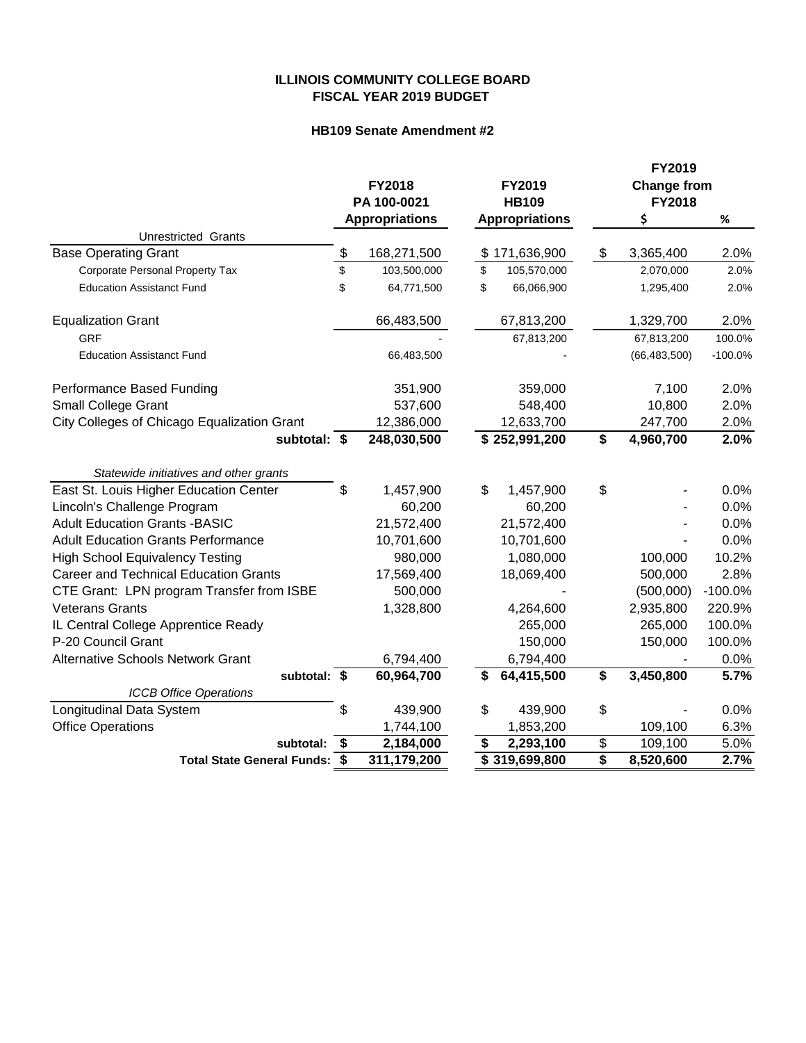## **ILLINOIS COMMUNITY COLLEGE BOARD FISCAL YEAR 2019 BUDGET**

## **HB109 Senate Amendment #2**

|                                              | <b>FY2018</b><br>PA 100-0021 |                       | FY2019<br><b>HB109</b> |                           | FY2019<br><b>Change from</b> |                |           |
|----------------------------------------------|------------------------------|-----------------------|------------------------|---------------------------|------------------------------|----------------|-----------|
|                                              |                              |                       |                        |                           |                              | FY2018         |           |
|                                              |                              | <b>Appropriations</b> |                        | <b>Appropriations</b>     |                              | \$             | $\%$      |
| Unrestricted Grants                          |                              |                       |                        |                           |                              |                |           |
| <b>Base Operating Grant</b>                  | \$                           | 168,271,500           |                        | \$171,636,900             | \$                           | 3,365,400      | 2.0%      |
| Corporate Personal Property Tax              | \$                           | 103,500,000           | \$                     | 105,570,000               |                              | 2,070,000      | 2.0%      |
| <b>Education Assistanct Fund</b>             | \$                           | 64,771,500            | \$                     | 66,066,900                |                              | 1,295,400      | 2.0%      |
| <b>Equalization Grant</b>                    |                              | 66,483,500            |                        | 67,813,200                |                              | 1,329,700      | 2.0%      |
| <b>GRF</b>                                   |                              |                       |                        | 67,813,200                |                              | 67,813,200     | 100.0%    |
| <b>Education Assistanct Fund</b>             |                              | 66,483,500            |                        |                           |                              | (66, 483, 500) | $-100.0%$ |
| Performance Based Funding                    |                              | 351,900               |                        | 359,000                   |                              | 7,100          | 2.0%      |
| <b>Small College Grant</b>                   |                              | 537,600               |                        | 548,400                   |                              | 10,800         | 2.0%      |
| City Colleges of Chicago Equalization Grant  |                              | 12,386,000            |                        | 12,633,700                |                              | 247,700        | 2.0%      |
| subtotal: \$                                 |                              | 248,030,500           |                        | \$252,991,200             | \$                           | 4,960,700      | 2.0%      |
| Statewide initiatives and other grants       |                              |                       |                        |                           |                              |                |           |
| East St. Louis Higher Education Center       | \$                           | 1,457,900             | \$                     | 1,457,900                 | \$                           |                | 0.0%      |
| Lincoln's Challenge Program                  |                              | 60,200                |                        | 60,200                    |                              |                | 0.0%      |
| <b>Adult Education Grants -BASIC</b>         |                              | 21,572,400            |                        | 21,572,400                |                              |                | 0.0%      |
| <b>Adult Education Grants Performance</b>    |                              | 10,701,600            |                        | 10,701,600                |                              |                | 0.0%      |
| <b>High School Equivalency Testing</b>       |                              | 980,000               |                        | 1,080,000                 |                              | 100,000        | 10.2%     |
| <b>Career and Technical Education Grants</b> |                              | 17,569,400            |                        | 18,069,400                |                              | 500,000        | 2.8%      |
| CTE Grant: LPN program Transfer from ISBE    |                              | 500,000               |                        |                           |                              | (500,000)      | $-100.0%$ |
| <b>Veterans Grants</b>                       |                              | 1,328,800             |                        | 4,264,600                 |                              | 2,935,800      | 220.9%    |
| IL Central College Apprentice Ready          |                              |                       |                        | 265,000                   |                              | 265,000        | 100.0%    |
| P-20 Council Grant                           |                              |                       |                        | 150,000                   |                              | 150,000        | 100.0%    |
| <b>Alternative Schools Network Grant</b>     |                              | 6,794,400             |                        | 6,794,400                 |                              |                | 0.0%      |
| subtotal: \$                                 |                              | 60,964,700            | S                      | 64,415,500                | \$                           | 3,450,800      | 5.7%      |
| <b>ICCB Office Operations</b>                |                              |                       |                        |                           |                              |                |           |
| Longitudinal Data System                     | \$                           | 439,900               | \$                     | 439,900                   | \$                           |                | 0.0%      |
| <b>Office Operations</b>                     |                              | 1,744,100             |                        | 1,853,200                 |                              | 109,100        | 6.3%      |
| subtotal:                                    | \$                           | 2,184,000             | \$                     | 2,293,100                 | \$                           | 109,100        | 5.0%      |
| Total State General Funds: \$                |                              | 311,179,200           |                        | $\overline{$}319,699,800$ | $\overline{\$}$              | 8,520,600      | 2.7%      |